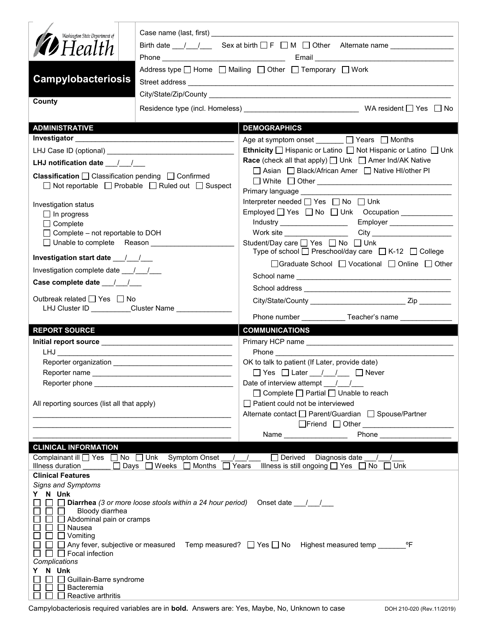| Washington State Department of<br><b>19</b> Health<br><b>Campylobacteriosis</b><br>County                                                                                                                                              | Case name (last, first) <b>Example 2</b> and the control of the control of the control of the control of the control of the control of the control of the control of the control of the control of the control of the control of th<br>Address type $\Box$ Home $\Box$ Mailing $\Box$ Other $\Box$ Temporary $\Box$ Work |  |
|----------------------------------------------------------------------------------------------------------------------------------------------------------------------------------------------------------------------------------------|--------------------------------------------------------------------------------------------------------------------------------------------------------------------------------------------------------------------------------------------------------------------------------------------------------------------------|--|
| <b>ADMINISTRATIVE</b>                                                                                                                                                                                                                  | <b>DEMOGRAPHICS</b>                                                                                                                                                                                                                                                                                                      |  |
|                                                                                                                                                                                                                                        | Age at symptom onset _______ □ Years □ Months                                                                                                                                                                                                                                                                            |  |
|                                                                                                                                                                                                                                        | Ethnicity □ Hispanic or Latino □ Not Hispanic or Latino □ Unk                                                                                                                                                                                                                                                            |  |
|                                                                                                                                                                                                                                        | <b>Race</b> (check all that apply) $\Box$ Unk $\Box$ Amer Ind/AK Native                                                                                                                                                                                                                                                  |  |
| <b>Classification</b> $\Box$ Classification pending $\Box$ Confirmed<br>$\Box$ Not reportable $\Box$ Probable $\Box$ Ruled out $\Box$ Suspect                                                                                          | □ Asian □ Black/African Amer □ Native HI/other PI<br>Primary language ____________                                                                                                                                                                                                                                       |  |
| Investigation status                                                                                                                                                                                                                   | Interpreter needed $\Box$ Yes $\Box$ No $\Box$ Unk                                                                                                                                                                                                                                                                       |  |
| $\Box$ In progress                                                                                                                                                                                                                     | Employed $\Box$ Yes $\Box$ No $\Box$ Unk Occupation                                                                                                                                                                                                                                                                      |  |
| $\Box$ Complete                                                                                                                                                                                                                        | Employer<br>Industry _____________________<br>City _________________________<br>Work site $\_\_$                                                                                                                                                                                                                         |  |
| $\Box$ Complete – not reportable to DOH<br>□ Unable to complete Reason ___________                                                                                                                                                     | Student/Day care <u>Sine Student</u> /Day on Bossey on Bossey                                                                                                                                                                                                                                                            |  |
|                                                                                                                                                                                                                                        | Type of school □ Preschool/day care □ K-12 □ College                                                                                                                                                                                                                                                                     |  |
| Investigation complete date 11                                                                                                                                                                                                         | □Graduate School □ Vocational □ Online □ Other                                                                                                                                                                                                                                                                           |  |
| Case complete date $\frac{1}{\sqrt{1-\frac{1}{2}}}$                                                                                                                                                                                    |                                                                                                                                                                                                                                                                                                                          |  |
| Outbreak related □ Yes □ No<br>LHJ Cluster ID Cluster Name                                                                                                                                                                             |                                                                                                                                                                                                                                                                                                                          |  |
|                                                                                                                                                                                                                                        | Phone number ______________Teacher's name _______________                                                                                                                                                                                                                                                                |  |
| <b>REPORT SOURCE</b>                                                                                                                                                                                                                   | <b>COMMUNICATIONS</b>                                                                                                                                                                                                                                                                                                    |  |
|                                                                                                                                                                                                                                        |                                                                                                                                                                                                                                                                                                                          |  |
|                                                                                                                                                                                                                                        |                                                                                                                                                                                                                                                                                                                          |  |
|                                                                                                                                                                                                                                        | OK to talk to patient (If Later, provide date)                                                                                                                                                                                                                                                                           |  |
| Reporter name                                                                                                                                                                                                                          | $\Box$ Yes $\Box$ Later $\_\_\_\_\_\_\_\_\_\_\_\_\_\_\_\_\_\_\_\_\_\_\$                                                                                                                                                                                                                                                  |  |
| Reporter phone _________________                                                                                                                                                                                                       | Date of interview attempt / /                                                                                                                                                                                                                                                                                            |  |
|                                                                                                                                                                                                                                        | $\Box$ Complete $\Box$ Partial $\Box$ Unable to reach                                                                                                                                                                                                                                                                    |  |
| All reporting sources (list all that apply)                                                                                                                                                                                            | Patient could not be interviewed<br>Alternate contact □ Parent/Guardian □ Spouse/Partner                                                                                                                                                                                                                                 |  |
|                                                                                                                                                                                                                                        | <b>Phone Contract Contract Contract Contract Contract Contract Contract Contract Contract Contract Contract Contract Contract Contract Contract Contract Contract Contract Contract Contract Contract Contract Contract Contra</b><br>Name _______________                                                               |  |
| <b>CLINICAL INFORMATION</b>                                                                                                                                                                                                            |                                                                                                                                                                                                                                                                                                                          |  |
| Complainant ill [ Yes   No   Unk Symptom Onset                                                                                                                                                                                         | Derived Diagnosis date /<br>$\sqrt{1}$                                                                                                                                                                                                                                                                                   |  |
| □ Days □ Weeks □ Months [<br>Illness duration                                                                                                                                                                                          | Illness is still ongoing $\Box$ Yes $\Box$ No $\Box$ Unk<br>Years                                                                                                                                                                                                                                                        |  |
| Clinical Features<br><b>Signs and Symptoms</b>                                                                                                                                                                                         |                                                                                                                                                                                                                                                                                                                          |  |
| Y N Unk<br>$\Box$ Diarrhea (3 or more loose stools within a 24 hour period)<br>Bloody diarrhea<br>$\Box$ Abdominal pain or cramps<br>$\Box$ Nausea<br>$\Box$ Vomiting<br>$\Box$ $\Box$ Focal infection<br>Complications<br>N Unk<br>Y. | Onset date $\frac{1}{\sqrt{1-\frac{1}{2}}}$<br>□ Any fever, subjective or measured Temp measured? □ Yes □ No Highest measured temp ________ °F                                                                                                                                                                           |  |
| □ Guillain-Barre syndrome<br>Bacteremia<br>Reactive arthritis                                                                                                                                                                          |                                                                                                                                                                                                                                                                                                                          |  |

Campylobacteriosis required variables are in **bold.** Answers are: Yes, Maybe, No, Unknown to case DOH 210-020 (Rev.11/2019)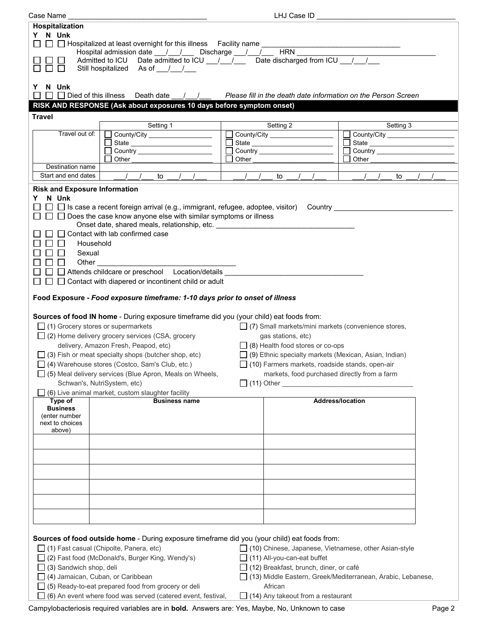| Case Name _                                                                                                                                                                                                                                                                                                                                                                                                                                                                                                                                                                                                                                                                                                                                                                                                                                                                                                                                                                                                                                                                         | LHJ Case ID                                                                                                                                                                                                                                                                                                        |                                                                              |
|-------------------------------------------------------------------------------------------------------------------------------------------------------------------------------------------------------------------------------------------------------------------------------------------------------------------------------------------------------------------------------------------------------------------------------------------------------------------------------------------------------------------------------------------------------------------------------------------------------------------------------------------------------------------------------------------------------------------------------------------------------------------------------------------------------------------------------------------------------------------------------------------------------------------------------------------------------------------------------------------------------------------------------------------------------------------------------------|--------------------------------------------------------------------------------------------------------------------------------------------------------------------------------------------------------------------------------------------------------------------------------------------------------------------|------------------------------------------------------------------------------|
| Hospitalization                                                                                                                                                                                                                                                                                                                                                                                                                                                                                                                                                                                                                                                                                                                                                                                                                                                                                                                                                                                                                                                                     |                                                                                                                                                                                                                                                                                                                    |                                                                              |
| Y N Unk                                                                                                                                                                                                                                                                                                                                                                                                                                                                                                                                                                                                                                                                                                                                                                                                                                                                                                                                                                                                                                                                             |                                                                                                                                                                                                                                                                                                                    |                                                                              |
| $\Box$ Hospitalized at least overnight for this illness Facility name                                                                                                                                                                                                                                                                                                                                                                                                                                                                                                                                                                                                                                                                                                                                                                                                                                                                                                                                                                                                               |                                                                                                                                                                                                                                                                                                                    |                                                                              |
| Hospital admission date __/__/___ Discharge __/__/___                                                                                                                                                                                                                                                                                                                                                                                                                                                                                                                                                                                                                                                                                                                                                                                                                                                                                                                                                                                                                               | <b>HRN</b>                                                                                                                                                                                                                                                                                                         |                                                                              |
| Admitted to ICU Date admitted to ICU $\frac{1}{\sqrt{1-\pi}}$ Date discharged from ICU $\frac{1}{\sqrt{1-\pi}}$                                                                                                                                                                                                                                                                                                                                                                                                                                                                                                                                                                                                                                                                                                                                                                                                                                                                                                                                                                     |                                                                                                                                                                                                                                                                                                                    |                                                                              |
| Still hospitalized As of //                                                                                                                                                                                                                                                                                                                                                                                                                                                                                                                                                                                                                                                                                                                                                                                                                                                                                                                                                                                                                                                         |                                                                                                                                                                                                                                                                                                                    |                                                                              |
|                                                                                                                                                                                                                                                                                                                                                                                                                                                                                                                                                                                                                                                                                                                                                                                                                                                                                                                                                                                                                                                                                     |                                                                                                                                                                                                                                                                                                                    |                                                                              |
| N Unk<br>Y                                                                                                                                                                                                                                                                                                                                                                                                                                                                                                                                                                                                                                                                                                                                                                                                                                                                                                                                                                                                                                                                          |                                                                                                                                                                                                                                                                                                                    |                                                                              |
| $\Box$ $\Box$ Died of this illness<br>$\Box$<br>Death date<br>$\left  \begin{array}{c} \hline \end{array} \right $                                                                                                                                                                                                                                                                                                                                                                                                                                                                                                                                                                                                                                                                                                                                                                                                                                                                                                                                                                  | Please fill in the death date information on the Person Screen                                                                                                                                                                                                                                                     |                                                                              |
| RISK AND RESPONSE (Ask about exposures 10 days before symptom onset)                                                                                                                                                                                                                                                                                                                                                                                                                                                                                                                                                                                                                                                                                                                                                                                                                                                                                                                                                                                                                |                                                                                                                                                                                                                                                                                                                    |                                                                              |
|                                                                                                                                                                                                                                                                                                                                                                                                                                                                                                                                                                                                                                                                                                                                                                                                                                                                                                                                                                                                                                                                                     |                                                                                                                                                                                                                                                                                                                    |                                                                              |
| <b>Travel</b>                                                                                                                                                                                                                                                                                                                                                                                                                                                                                                                                                                                                                                                                                                                                                                                                                                                                                                                                                                                                                                                                       |                                                                                                                                                                                                                                                                                                                    |                                                                              |
| Setting 1<br>Travel out of:                                                                                                                                                                                                                                                                                                                                                                                                                                                                                                                                                                                                                                                                                                                                                                                                                                                                                                                                                                                                                                                         | Setting 2                                                                                                                                                                                                                                                                                                          | Setting 3                                                                    |
| County/City ____________________                                                                                                                                                                                                                                                                                                                                                                                                                                                                                                                                                                                                                                                                                                                                                                                                                                                                                                                                                                                                                                                    |                                                                                                                                                                                                                                                                                                                    | County/City _____________________<br>$\Box$                                  |
| State ________________________                                                                                                                                                                                                                                                                                                                                                                                                                                                                                                                                                                                                                                                                                                                                                                                                                                                                                                                                                                                                                                                      | <b>Country Country</b>                                                                                                                                                                                                                                                                                             | State __________________________<br>□ Country <u>_______________________</u> |
| Other                                                                                                                                                                                                                                                                                                                                                                                                                                                                                                                                                                                                                                                                                                                                                                                                                                                                                                                                                                                                                                                                               | Other                                                                                                                                                                                                                                                                                                              | Other_                                                                       |
| Destination name                                                                                                                                                                                                                                                                                                                                                                                                                                                                                                                                                                                                                                                                                                                                                                                                                                                                                                                                                                                                                                                                    |                                                                                                                                                                                                                                                                                                                    |                                                                              |
| Start and end dates<br>$\frac{1}{2}$<br>to                                                                                                                                                                                                                                                                                                                                                                                                                                                                                                                                                                                                                                                                                                                                                                                                                                                                                                                                                                                                                                          | to<br>$\sqrt{2}$                                                                                                                                                                                                                                                                                                   | to                                                                           |
| <b>Risk and Exposure Information</b>                                                                                                                                                                                                                                                                                                                                                                                                                                                                                                                                                                                                                                                                                                                                                                                                                                                                                                                                                                                                                                                |                                                                                                                                                                                                                                                                                                                    |                                                                              |
| N Unk<br>Y.<br>$\Box$ Is case a recent foreign arrival (e.g., immigrant, refugee, adoptee, visitor)<br>$\Box$ Does the case know anyone else with similar symptoms or illness<br>Onset date, shared meals, relationship, etc. ___________________________________<br>$\Box$ Contact with lab confirmed case<br>Household<br>$\mathbf{L}$<br>$\perp$<br>Sexual<br>$\Box$<br>Other<br>$\mathsf{L}$<br>□ □ Attends childcare or preschool Location/details ___________<br>$\Box$ Contact with diapered or incontinent child or adult<br>Food Exposure - Food exposure timeframe: 1-10 days prior to onset of illness<br>Sources of food IN home - During exposure timeframe did you (your child) eat foods from:<br>$\Box$ (1) Grocery stores or supermarkets<br>$\Box$ (2) Home delivery grocery services (CSA, grocery<br>delivery, Amazon Fresh, Peapod, etc)<br>$\Box$ (3) Fish or meat specialty shops (butcher shop, etc)<br>□ (4) Warehouse stores (Costco, Sam's Club, etc.)<br>$\Box$ (5) Meal delivery services (Blue Apron, Meals on Wheels,<br>Schwan's, NutriSystem, etc) | $\Box$ (7) Small markets/mini markets (convenience stores,<br>gas stations, etc)<br>$\Box$ (8) Health food stores or co-ops<br>$\Box$ (9) Ethnic specialty markets (Mexican, Asian, Indian)<br>$\Box$ (10) Farmers markets, roadside stands, open-air<br>markets, food purchased directly from a farm<br>11) Other | <b>Country Country</b>                                                       |
| (6) Live animal market, custom slaughter facility<br><b>Business name</b><br>Type of                                                                                                                                                                                                                                                                                                                                                                                                                                                                                                                                                                                                                                                                                                                                                                                                                                                                                                                                                                                                | <b>Address/location</b>                                                                                                                                                                                                                                                                                            |                                                                              |
| <b>Business</b>                                                                                                                                                                                                                                                                                                                                                                                                                                                                                                                                                                                                                                                                                                                                                                                                                                                                                                                                                                                                                                                                     |                                                                                                                                                                                                                                                                                                                    |                                                                              |
| (enter number                                                                                                                                                                                                                                                                                                                                                                                                                                                                                                                                                                                                                                                                                                                                                                                                                                                                                                                                                                                                                                                                       |                                                                                                                                                                                                                                                                                                                    |                                                                              |
| next to choices<br>above)                                                                                                                                                                                                                                                                                                                                                                                                                                                                                                                                                                                                                                                                                                                                                                                                                                                                                                                                                                                                                                                           |                                                                                                                                                                                                                                                                                                                    |                                                                              |
|                                                                                                                                                                                                                                                                                                                                                                                                                                                                                                                                                                                                                                                                                                                                                                                                                                                                                                                                                                                                                                                                                     |                                                                                                                                                                                                                                                                                                                    |                                                                              |
|                                                                                                                                                                                                                                                                                                                                                                                                                                                                                                                                                                                                                                                                                                                                                                                                                                                                                                                                                                                                                                                                                     |                                                                                                                                                                                                                                                                                                                    |                                                                              |
|                                                                                                                                                                                                                                                                                                                                                                                                                                                                                                                                                                                                                                                                                                                                                                                                                                                                                                                                                                                                                                                                                     |                                                                                                                                                                                                                                                                                                                    |                                                                              |
|                                                                                                                                                                                                                                                                                                                                                                                                                                                                                                                                                                                                                                                                                                                                                                                                                                                                                                                                                                                                                                                                                     |                                                                                                                                                                                                                                                                                                                    |                                                                              |
|                                                                                                                                                                                                                                                                                                                                                                                                                                                                                                                                                                                                                                                                                                                                                                                                                                                                                                                                                                                                                                                                                     |                                                                                                                                                                                                                                                                                                                    |                                                                              |
|                                                                                                                                                                                                                                                                                                                                                                                                                                                                                                                                                                                                                                                                                                                                                                                                                                                                                                                                                                                                                                                                                     |                                                                                                                                                                                                                                                                                                                    |                                                                              |
|                                                                                                                                                                                                                                                                                                                                                                                                                                                                                                                                                                                                                                                                                                                                                                                                                                                                                                                                                                                                                                                                                     |                                                                                                                                                                                                                                                                                                                    |                                                                              |
|                                                                                                                                                                                                                                                                                                                                                                                                                                                                                                                                                                                                                                                                                                                                                                                                                                                                                                                                                                                                                                                                                     |                                                                                                                                                                                                                                                                                                                    |                                                                              |
|                                                                                                                                                                                                                                                                                                                                                                                                                                                                                                                                                                                                                                                                                                                                                                                                                                                                                                                                                                                                                                                                                     |                                                                                                                                                                                                                                                                                                                    |                                                                              |
|                                                                                                                                                                                                                                                                                                                                                                                                                                                                                                                                                                                                                                                                                                                                                                                                                                                                                                                                                                                                                                                                                     |                                                                                                                                                                                                                                                                                                                    |                                                                              |
| Sources of food outside home - During exposure timeframe did you (your child) eat foods from:<br>□ (1) Fast casual (Chipolte, Panera, etc)<br>(2) Fast food (McDonald's, Burger King, Wendy's)                                                                                                                                                                                                                                                                                                                                                                                                                                                                                                                                                                                                                                                                                                                                                                                                                                                                                      | □ (10) Chinese, Japanese, Vietnamese, other Asian-style<br>□ (11) All-you-can-eat buffet                                                                                                                                                                                                                           |                                                                              |
| (3) Sandwich shop, deli                                                                                                                                                                                                                                                                                                                                                                                                                                                                                                                                                                                                                                                                                                                                                                                                                                                                                                                                                                                                                                                             | □ (12) Breakfast, brunch, diner, or café                                                                                                                                                                                                                                                                           |                                                                              |
| □ (4) Jamaican, Cuban, or Caribbean                                                                                                                                                                                                                                                                                                                                                                                                                                                                                                                                                                                                                                                                                                                                                                                                                                                                                                                                                                                                                                                 |                                                                                                                                                                                                                                                                                                                    | (13) Middle Eastern, Greek/Mediterranean, Arabic, Lebanese,                  |
| $\Box$ (5) Ready-to-eat prepared food from grocery or deli                                                                                                                                                                                                                                                                                                                                                                                                                                                                                                                                                                                                                                                                                                                                                                                                                                                                                                                                                                                                                          | African                                                                                                                                                                                                                                                                                                            |                                                                              |
| $\Box$ (6) An event where food was served (catered event, festival,                                                                                                                                                                                                                                                                                                                                                                                                                                                                                                                                                                                                                                                                                                                                                                                                                                                                                                                                                                                                                 | $\Box$ (14) Any takeout from a restaurant                                                                                                                                                                                                                                                                          |                                                                              |
|                                                                                                                                                                                                                                                                                                                                                                                                                                                                                                                                                                                                                                                                                                                                                                                                                                                                                                                                                                                                                                                                                     |                                                                                                                                                                                                                                                                                                                    |                                                                              |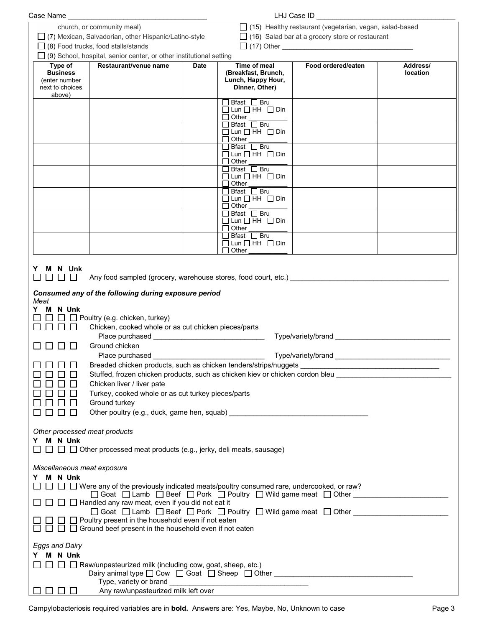| Case Name                                                                                                                           |                                                                                                                                                                                                                                                                                                                                                                                                                                                                                                                                                                                                                     |             |                                                                             | LHJ Case ID                                                    |                      |
|-------------------------------------------------------------------------------------------------------------------------------------|---------------------------------------------------------------------------------------------------------------------------------------------------------------------------------------------------------------------------------------------------------------------------------------------------------------------------------------------------------------------------------------------------------------------------------------------------------------------------------------------------------------------------------------------------------------------------------------------------------------------|-------------|-----------------------------------------------------------------------------|----------------------------------------------------------------|----------------------|
|                                                                                                                                     | church, or community meal)                                                                                                                                                                                                                                                                                                                                                                                                                                                                                                                                                                                          |             |                                                                             | $\Box$ (15) Healthy restaurant (vegetarian, vegan, salad-based |                      |
|                                                                                                                                     | (7) Mexican, Salvadorian, other Hispanic/Latino-style                                                                                                                                                                                                                                                                                                                                                                                                                                                                                                                                                               |             |                                                                             | $\Box$ (16) Salad bar at a grocery store or restaurant         |                      |
|                                                                                                                                     | $\Box$ (8) Food trucks, food stalls/stands                                                                                                                                                                                                                                                                                                                                                                                                                                                                                                                                                                          |             |                                                                             |                                                                |                      |
|                                                                                                                                     | $\Box$ (9) School, hospital, senior center, or other institutional setting                                                                                                                                                                                                                                                                                                                                                                                                                                                                                                                                          |             |                                                                             |                                                                |                      |
| Type of<br><b>Business</b><br>(enter number<br>next to choices                                                                      | Restaurant/venue name                                                                                                                                                                                                                                                                                                                                                                                                                                                                                                                                                                                               | <b>Date</b> | Time of meal<br>(Breakfast, Brunch,<br>Lunch, Happy Hour,<br>Dinner, Other) | Food ordered/eaten                                             | Address/<br>location |
| above)                                                                                                                              |                                                                                                                                                                                                                                                                                                                                                                                                                                                                                                                                                                                                                     |             |                                                                             |                                                                |                      |
|                                                                                                                                     |                                                                                                                                                                                                                                                                                                                                                                                                                                                                                                                                                                                                                     |             | コ Bfast ロ Bru                                                               |                                                                |                      |
|                                                                                                                                     |                                                                                                                                                                                                                                                                                                                                                                                                                                                                                                                                                                                                                     |             | $\Box$ Lun $\Box$ HH $\Box$ Din                                             |                                                                |                      |
|                                                                                                                                     |                                                                                                                                                                                                                                                                                                                                                                                                                                                                                                                                                                                                                     |             | $\Box$ Other<br>$\Box$ Bfast $\Box$ Bru                                     |                                                                |                      |
|                                                                                                                                     |                                                                                                                                                                                                                                                                                                                                                                                                                                                                                                                                                                                                                     |             | $\Box$ Lun $\Box$ HH $\Box$ Din<br>$\Box$ Other                             |                                                                |                      |
|                                                                                                                                     |                                                                                                                                                                                                                                                                                                                                                                                                                                                                                                                                                                                                                     |             | $\Box$ Bfast $\Box$ Bru                                                     |                                                                |                      |
|                                                                                                                                     |                                                                                                                                                                                                                                                                                                                                                                                                                                                                                                                                                                                                                     |             | $\Box$ Lun $\Box$ HH $\Box$ Din<br>$\Box$ Other                             |                                                                |                      |
|                                                                                                                                     |                                                                                                                                                                                                                                                                                                                                                                                                                                                                                                                                                                                                                     |             | $\Box$ Bfast $\Box$ Bru                                                     |                                                                |                      |
|                                                                                                                                     |                                                                                                                                                                                                                                                                                                                                                                                                                                                                                                                                                                                                                     |             | $\Box$ Lun $\Box$ HH $\Box$ Din<br>$\Box$ Other                             |                                                                |                      |
|                                                                                                                                     |                                                                                                                                                                                                                                                                                                                                                                                                                                                                                                                                                                                                                     |             | □ Bfast □ Bru                                                               |                                                                |                      |
|                                                                                                                                     |                                                                                                                                                                                                                                                                                                                                                                                                                                                                                                                                                                                                                     |             | $\Box$ Lun $\Box$ HH $\Box$ Din                                             |                                                                |                      |
|                                                                                                                                     |                                                                                                                                                                                                                                                                                                                                                                                                                                                                                                                                                                                                                     |             | $\Box$ Other<br>$\Box$ Bfast $\Box$ Bru                                     |                                                                |                      |
|                                                                                                                                     |                                                                                                                                                                                                                                                                                                                                                                                                                                                                                                                                                                                                                     |             | $\Box$ Lun $\Box$ HH $\Box$ Din<br>$\Box$ Other                             |                                                                |                      |
|                                                                                                                                     |                                                                                                                                                                                                                                                                                                                                                                                                                                                                                                                                                                                                                     |             | □ Bfast □ Bru<br>$\Box$ Lun $\Box$ HH $\Box$ Din                            |                                                                |                      |
|                                                                                                                                     |                                                                                                                                                                                                                                                                                                                                                                                                                                                                                                                                                                                                                     |             | $\Box$ Other                                                                |                                                                |                      |
| Meat<br>M N Unk<br>Y<br>$\perp$<br>0000<br>$\perp$<br>$\mathbf{L}$                                                                  | Any food sampled (grocery, warehouse stores, food court, etc.)<br>Consumed any of the following during exposure period<br>$\Box$ Poultry (e.g. chicken, turkey)<br>Chicken, cooked whole or as cut chicken pieces/parts<br>Place purchased __________________________________<br>Ground chicken<br>Breaded chicken products, such as chicken tenders/strips/nuggets __________<br>Stuffed, frozen chicken products, such as chicken kiev or chicken cordon bleu<br>Chicken liver / liver pate<br>Turkey, cooked whole or as cut turkey pieces/parts<br>Ground turkey<br>Other poultry (e.g., duck, game hen, squab) |             |                                                                             |                                                                |                      |
| Other processed meat products<br>Y M N Unk<br>$\Box$ $\Box$ $\Box$ Other processed meat products (e.g., jerky, deli meats, sausage) |                                                                                                                                                                                                                                                                                                                                                                                                                                                                                                                                                                                                                     |             |                                                                             |                                                                |                      |
| Miscellaneous meat exposure                                                                                                         |                                                                                                                                                                                                                                                                                                                                                                                                                                                                                                                                                                                                                     |             |                                                                             |                                                                |                      |
| Y M N Unk                                                                                                                           |                                                                                                                                                                                                                                                                                                                                                                                                                                                                                                                                                                                                                     |             |                                                                             |                                                                |                      |
|                                                                                                                                     | $\Box$ $\Box$ Were any of the previously indicated meats/poultry consumed rare, undercooked, or raw?                                                                                                                                                                                                                                                                                                                                                                                                                                                                                                                |             |                                                                             |                                                                |                      |
|                                                                                                                                     | □ Goat □ Lamb □ Beef □ Pork □ Poultry □ Wild game meat □ Other _________________<br>$\Box$ Handled any raw meat, even if you did not eat it                                                                                                                                                                                                                                                                                                                                                                                                                                                                         |             |                                                                             |                                                                |                      |
|                                                                                                                                     | $\Box$ Goat $\Box$ Lamb $\Box$ Beef $\Box$ Pork $\Box$ Poultry $\Box$ Wild game meat $\Box$ Other                                                                                                                                                                                                                                                                                                                                                                                                                                                                                                                   |             |                                                                             |                                                                |                      |
|                                                                                                                                     | $\Box$ Poultry present in the household even if not eaten<br>$\Box$ Ground beef present in the household even if not eaten                                                                                                                                                                                                                                                                                                                                                                                                                                                                                          |             |                                                                             |                                                                |                      |
|                                                                                                                                     |                                                                                                                                                                                                                                                                                                                                                                                                                                                                                                                                                                                                                     |             |                                                                             |                                                                |                      |
| <b>Eggs and Dairy</b>                                                                                                               |                                                                                                                                                                                                                                                                                                                                                                                                                                                                                                                                                                                                                     |             |                                                                             |                                                                |                      |
| Y M N Unk                                                                                                                           |                                                                                                                                                                                                                                                                                                                                                                                                                                                                                                                                                                                                                     |             |                                                                             |                                                                |                      |
|                                                                                                                                     | $\Box$ $\Box$ Raw/unpasteurized milk (including cow, goat, sheep, etc.)                                                                                                                                                                                                                                                                                                                                                                                                                                                                                                                                             |             |                                                                             |                                                                |                      |
| $\Box$<br>┕╵╚                                                                                                                       | Any raw/unpasteurized milk left over                                                                                                                                                                                                                                                                                                                                                                                                                                                                                                                                                                                |             |                                                                             |                                                                |                      |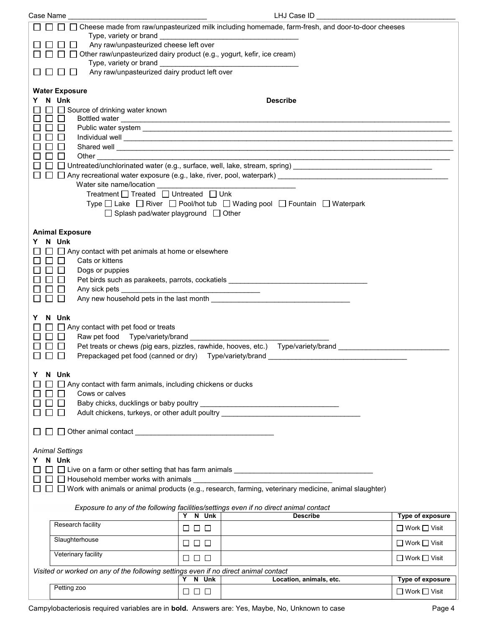| Case Name |                                                                                                                                                                       |                      | LHJ Case ID                                                                                                                                                                                                                                                                                                                                                      |                          |
|-----------|-----------------------------------------------------------------------------------------------------------------------------------------------------------------------|----------------------|------------------------------------------------------------------------------------------------------------------------------------------------------------------------------------------------------------------------------------------------------------------------------------------------------------------------------------------------------------------|--------------------------|
|           | Any raw/unpasteurized cheese left over<br>Other raw/unpasteurized dairy product (e.g., yogurt, kefir, ice cream)<br>Any raw/unpasteurized dairy product left over     |                      | □ Cheese made from raw/unpasteurized milk including homemade, farm-fresh, and door-to-door cheeses                                                                                                                                                                                                                                                               |                          |
| Y.        | <b>Water Exposure</b><br>N Unk<br>Source of drinking water known<br>Other<br>Treatment □ Treated □ Untreated □ Unk<br>$\Box$ Splash pad/water playground $\Box$ Other |                      | <b>Describe</b><br>Shared well <b>contract the contract of the contract of the contract of the contract of the contract of the contract of the contract of the contract of the contract of the contract of the contract of the contract of the cont</b><br>Type $\Box$ Lake $\Box$ River $\Box$ Pool/hot tub $\Box$ Wading pool $\Box$ Fountain $\Box$ Waterpark |                          |
| Y.        | <b>Animal Exposure</b><br>N Unk<br>$\Box$ $\Box$ Any contact with pet animals at home or elsewhere<br>Cats or kittens<br>Dogs or puppies                              |                      | Pet birds such as parakeets, parrots, cockatiels _______________________________                                                                                                                                                                                                                                                                                 |                          |
| Y         | N Unk<br>Any contact with pet food or treats<br>$\Box$                                                                                                                |                      | Pet treats or chews (pig ears, pizzles, rawhide, hooves, etc.) Type/variety/brand ____________________________                                                                                                                                                                                                                                                   |                          |
| Y         | N Unk<br>Any contact with farm animals, including chickens or ducks<br>Cows or calves                                                                                 |                      | Adult chickens, turkeys, or other adult poultry ________________________________                                                                                                                                                                                                                                                                                 |                          |
| Y.        | <b>Animal Settings</b><br>N Unk<br>$\Box$ $\Box$ Household member works with animals $\Box$                                                                           |                      | $\Box$ Work with animals or animal products (e.g., research, farming, veterinary medicine, animal slaughter)<br>Exposure to any of the following facilities/settings even if no direct animal contact                                                                                                                                                            |                          |
|           |                                                                                                                                                                       | Y N Unk              | <b>Describe</b>                                                                                                                                                                                                                                                                                                                                                  | Type of exposure         |
|           | Research facility                                                                                                                                                     | $\Box$ $\Box$ $\Box$ |                                                                                                                                                                                                                                                                                                                                                                  | $\Box$ Work $\Box$ Visit |
|           | Slaughterhouse                                                                                                                                                        | 88 8 8               |                                                                                                                                                                                                                                                                                                                                                                  | $\Box$ Work $\Box$ Visit |
|           | Veterinary facility                                                                                                                                                   | $\Box$ $\Box$ $\Box$ |                                                                                                                                                                                                                                                                                                                                                                  | $\Box$ Work $\Box$ Visit |
|           | Visited or worked on any of the following settings even if no direct animal contact                                                                                   |                      |                                                                                                                                                                                                                                                                                                                                                                  |                          |
|           | Petting zoo                                                                                                                                                           | Y N Unk              | Location, animals, etc.                                                                                                                                                                                                                                                                                                                                          | Type of exposure         |
|           |                                                                                                                                                                       | 88 8 8               |                                                                                                                                                                                                                                                                                                                                                                  | $\Box$ Work $\Box$ Visit |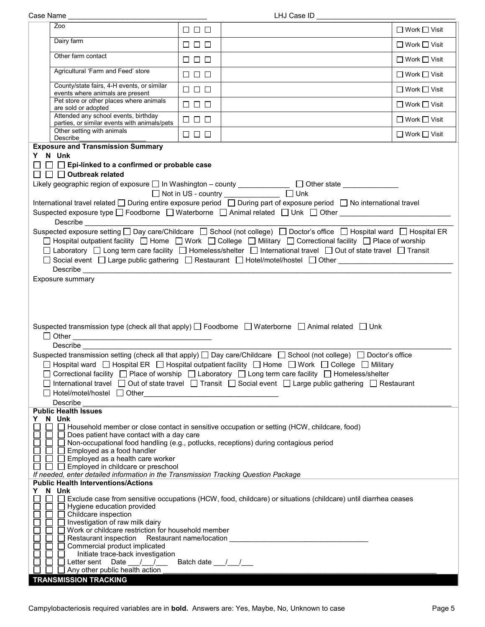|                                                                                                                                                                                                                                                                                                                                                                                                                                                                                                                                                                                                                                                                                                                                                                                                                                                                                                                                                                                                                                                  | Zoo                                                                                                                                                                                                                                                                                                                                                                | $\Box$ $\Box$ $\Box$ |                                                                                                                                                                                                                                                                                                                                                                                                                                                                                                                                                     | $\Box$ Work $\Box$ Visit |
|--------------------------------------------------------------------------------------------------------------------------------------------------------------------------------------------------------------------------------------------------------------------------------------------------------------------------------------------------------------------------------------------------------------------------------------------------------------------------------------------------------------------------------------------------------------------------------------------------------------------------------------------------------------------------------------------------------------------------------------------------------------------------------------------------------------------------------------------------------------------------------------------------------------------------------------------------------------------------------------------------------------------------------------------------|--------------------------------------------------------------------------------------------------------------------------------------------------------------------------------------------------------------------------------------------------------------------------------------------------------------------------------------------------------------------|----------------------|-----------------------------------------------------------------------------------------------------------------------------------------------------------------------------------------------------------------------------------------------------------------------------------------------------------------------------------------------------------------------------------------------------------------------------------------------------------------------------------------------------------------------------------------------------|--------------------------|
|                                                                                                                                                                                                                                                                                                                                                                                                                                                                                                                                                                                                                                                                                                                                                                                                                                                                                                                                                                                                                                                  | Dairy farm                                                                                                                                                                                                                                                                                                                                                         | $\Box$ $\Box$ $\Box$ |                                                                                                                                                                                                                                                                                                                                                                                                                                                                                                                                                     | $\Box$ Work $\Box$ Visit |
|                                                                                                                                                                                                                                                                                                                                                                                                                                                                                                                                                                                                                                                                                                                                                                                                                                                                                                                                                                                                                                                  | Other farm contact                                                                                                                                                                                                                                                                                                                                                 | $\Box$ $\Box$ $\Box$ |                                                                                                                                                                                                                                                                                                                                                                                                                                                                                                                                                     | $\Box$ Work $\Box$ Visit |
|                                                                                                                                                                                                                                                                                                                                                                                                                                                                                                                                                                                                                                                                                                                                                                                                                                                                                                                                                                                                                                                  | Agricultural 'Farm and Feed' store                                                                                                                                                                                                                                                                                                                                 | $\Box$ $\Box$ $\Box$ |                                                                                                                                                                                                                                                                                                                                                                                                                                                                                                                                                     | $\Box$ Work $\Box$ Visit |
|                                                                                                                                                                                                                                                                                                                                                                                                                                                                                                                                                                                                                                                                                                                                                                                                                                                                                                                                                                                                                                                  | County/state fairs, 4-H events, or similar<br>events where animals are present                                                                                                                                                                                                                                                                                     | $\Box$ $\Box$ $\Box$ |                                                                                                                                                                                                                                                                                                                                                                                                                                                                                                                                                     | □ Work □ Visit           |
|                                                                                                                                                                                                                                                                                                                                                                                                                                                                                                                                                                                                                                                                                                                                                                                                                                                                                                                                                                                                                                                  | Pet store or other places where animals<br>are sold or adopted                                                                                                                                                                                                                                                                                                     | $\Box$ $\Box$ $\Box$ |                                                                                                                                                                                                                                                                                                                                                                                                                                                                                                                                                     | $\Box$ Work $\Box$ Visit |
|                                                                                                                                                                                                                                                                                                                                                                                                                                                                                                                                                                                                                                                                                                                                                                                                                                                                                                                                                                                                                                                  | Attended any school events, birthday<br>parties, or similar events with animals/pets                                                                                                                                                                                                                                                                               | $\Box$ $\Box$ $\Box$ |                                                                                                                                                                                                                                                                                                                                                                                                                                                                                                                                                     | $\Box$ Work $\Box$ Visit |
|                                                                                                                                                                                                                                                                                                                                                                                                                                                                                                                                                                                                                                                                                                                                                                                                                                                                                                                                                                                                                                                  | Other setting with animals<br>Describe                                                                                                                                                                                                                                                                                                                             | $\Box$ $\Box$ $\Box$ |                                                                                                                                                                                                                                                                                                                                                                                                                                                                                                                                                     | $\Box$ Work $\Box$ Visit |
| <b>Exposure and Transmission Summary</b><br>Y N Unk<br>$\Box$ $\Box$ Epi-linked to a confirmed or probable case<br>$\Box$ $\Box$ Outbreak related<br>Likely geographic region of exposure □ In Washington - county _____________ □ Other state ______________<br>□ Not in US - country ______________ □ Unk<br>International travel related □ During entire exposure period □ During part of exposure period □ No international travel<br>Suspected exposure type □ Foodborne □ Waterborne □ Animal related □ Unk □ Other ___________________<br>Describe <u>Describe</u><br>Suspected exposure setting □ Day care/Childcare □ School (not college) □ Doctor's office □ Hospital ward □ Hospital ER<br>□ Hospital outpatient facility □ Home □ Work □ College □ Military □ Correctional facility □ Place of worship<br>□ Laboratory □ Long term care facility □ Homeless/shelter □ International travel □ Out of state travel □ Transit<br>□ Social event □ Large public gathering □ Restaurant □ Hotel/motel/hostel □ Other<br>Exposure summary |                                                                                                                                                                                                                                                                                                                                                                    |                      |                                                                                                                                                                                                                                                                                                                                                                                                                                                                                                                                                     |                          |
|                                                                                                                                                                                                                                                                                                                                                                                                                                                                                                                                                                                                                                                                                                                                                                                                                                                                                                                                                                                                                                                  | Describe<br>Hotel/motel/hostel   Other                                                                                                                                                                                                                                                                                                                             |                      | Suspected transmission type (check all that apply) [ Foodborne [ Waterborne [ Animal related ] Unk<br>Suspected transmission setting (check all that apply) □ Day care/Childcare □ School (not college) □ Doctor's office<br>□ Hospital ward □ Hospital ER □ Hospital outpatient facility □ Home □ Work □ College □ Military<br>□ Correctional facility □ Place of worship □ Laboratory □ Long term care facility □ Homeless/shelter<br>□ International travel □ Out of state travel □ Transit □ Social event □ Large public gathering □ Restaurant |                          |
|                                                                                                                                                                                                                                                                                                                                                                                                                                                                                                                                                                                                                                                                                                                                                                                                                                                                                                                                                                                                                                                  | Describe<br><b>Public Health Issues</b>                                                                                                                                                                                                                                                                                                                            |                      |                                                                                                                                                                                                                                                                                                                                                                                                                                                                                                                                                     |                          |
|                                                                                                                                                                                                                                                                                                                                                                                                                                                                                                                                                                                                                                                                                                                                                                                                                                                                                                                                                                                                                                                  | Y N Unk<br>Does patient have contact with a day care<br>□ Non-occupational food handling (e.g., potlucks, receptions) during contagious period<br>$\Box$ Employed as a food handler<br>$\Box$ Employed as a health care worker<br>$\Box$ Employed in childcare or preschool<br>If needed, enter detailed information in the Transmission Tracking Question Package |                      | □ Household member or close contact in sensitive occupation or setting (HCW, childcare, food)                                                                                                                                                                                                                                                                                                                                                                                                                                                       |                          |
|                                                                                                                                                                                                                                                                                                                                                                                                                                                                                                                                                                                                                                                                                                                                                                                                                                                                                                                                                                                                                                                  | <b>Public Health Interventions/Actions</b>                                                                                                                                                                                                                                                                                                                         |                      |                                                                                                                                                                                                                                                                                                                                                                                                                                                                                                                                                     |                          |
| Y                                                                                                                                                                                                                                                                                                                                                                                                                                                                                                                                                                                                                                                                                                                                                                                                                                                                                                                                                                                                                                                | N Unk<br>Hygiene education provided<br>$\Box$ Childcare inspection                                                                                                                                                                                                                                                                                                 |                      | Exclude case from sensitive occupations (HCW, food, childcare) or situations (childcare) until diarrhea ceases                                                                                                                                                                                                                                                                                                                                                                                                                                      |                          |

Case Name \_\_\_\_\_\_\_\_\_\_\_\_\_\_\_\_\_\_\_\_\_\_\_\_\_\_\_\_\_\_\_\_\_\_\_ LHJ Case ID \_\_\_\_\_\_\_\_\_\_\_\_\_\_\_\_\_\_\_\_\_\_\_\_\_\_\_\_\_\_\_\_\_\_\_

## **TRANSMISSION TRACKING**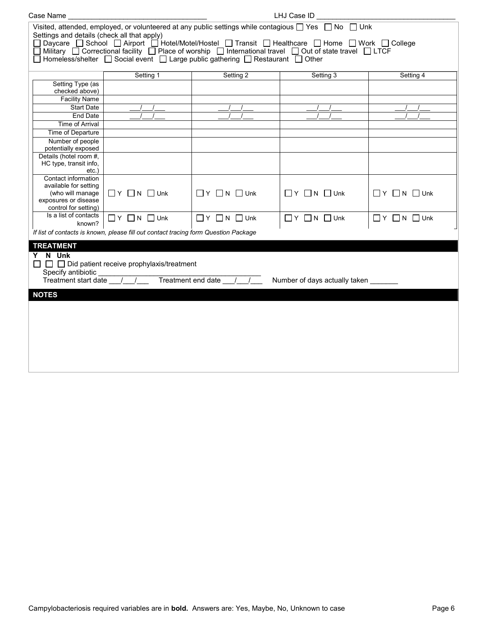| Case Name                                                                                                                                                                                                                                                                                                                                                                                                                                                                                       |                                                         |                              | LHJ Case ID                      |                                  |  |
|-------------------------------------------------------------------------------------------------------------------------------------------------------------------------------------------------------------------------------------------------------------------------------------------------------------------------------------------------------------------------------------------------------------------------------------------------------------------------------------------------|---------------------------------------------------------|------------------------------|----------------------------------|----------------------------------|--|
| Visited, attended, employed, or volunteered at any public settings while contagious $\Box$ Yes $\Box$ No $\Box$ Unk<br>Settings and details (check all that apply)<br>□ Daycare □ School □ Airport □ Hotel/Motel/Hostel □ Transit □ Healthcare □ Home □ Work □ College<br>□ Military □ Correctional facility □ Place of worship □ International travel □ Out of state travel □ LTCF<br>$\Box$ Homeless/shelter $\Box$ Social event $\Box$ Large public gathering $\Box$ Restaurant $\Box$ Other |                                                         |                              |                                  |                                  |  |
|                                                                                                                                                                                                                                                                                                                                                                                                                                                                                                 | Setting 1                                               | Setting 2                    | Setting 3                        | Setting 4                        |  |
| Setting Type (as<br>checked above)<br><b>Facility Name</b>                                                                                                                                                                                                                                                                                                                                                                                                                                      |                                                         |                              |                                  |                                  |  |
| <b>Start Date</b>                                                                                                                                                                                                                                                                                                                                                                                                                                                                               |                                                         |                              |                                  |                                  |  |
| <b>End Date</b>                                                                                                                                                                                                                                                                                                                                                                                                                                                                                 |                                                         |                              |                                  |                                  |  |
| <b>Time of Arrival</b>                                                                                                                                                                                                                                                                                                                                                                                                                                                                          |                                                         |                              |                                  |                                  |  |
| Time of Departure                                                                                                                                                                                                                                                                                                                                                                                                                                                                               |                                                         |                              |                                  |                                  |  |
| Number of people<br>potentially exposed                                                                                                                                                                                                                                                                                                                                                                                                                                                         |                                                         |                              |                                  |                                  |  |
| Details (hotel room #,<br>HC type, transit info,<br>$etc.$ )                                                                                                                                                                                                                                                                                                                                                                                                                                    |                                                         |                              |                                  |                                  |  |
| Contact information<br>available for setting<br>(who will manage<br>exposures or disease<br>control for setting)                                                                                                                                                                                                                                                                                                                                                                                | $\Box$ Y $\Box$ N $\Box$ Unk                            | $\Box$ Y $\Box$ N $\Box$ Unk | $\Box$ $Y$ $\Box$ $N$ $\Box$ Unk | $\Box$ $Y$ $\Box$ $N$ $\Box$ Unk |  |
| Is a list of contacts<br>known?                                                                                                                                                                                                                                                                                                                                                                                                                                                                 | $\Box$ Y $\Box$ N $\Box$ Unk                            | $\Box$ Y $\Box$ N $\Box$ Unk | $\Box$ $Y$ $\Box$ N $\Box$ Unk   | $\Box$ $Y$ $\Box$ N $\Box$ Unk   |  |
| If list of contacts is known, please fill out contact tracing form Question Package                                                                                                                                                                                                                                                                                                                                                                                                             |                                                         |                              |                                  |                                  |  |
| <b>TREATMENT</b>                                                                                                                                                                                                                                                                                                                                                                                                                                                                                |                                                         |                              |                                  |                                  |  |
| Y N Unk                                                                                                                                                                                                                                                                                                                                                                                                                                                                                         | $\Box$ $\Box$ Did patient receive prophylaxis/treatment |                              |                                  |                                  |  |
| Specify antibiotic                                                                                                                                                                                                                                                                                                                                                                                                                                                                              |                                                         |                              |                                  |                                  |  |
| Treatment end date __/_<br>Treatment start date //<br>Number of days actually taken                                                                                                                                                                                                                                                                                                                                                                                                             |                                                         |                              |                                  |                                  |  |
| <b>NOTES</b>                                                                                                                                                                                                                                                                                                                                                                                                                                                                                    |                                                         |                              |                                  |                                  |  |
|                                                                                                                                                                                                                                                                                                                                                                                                                                                                                                 |                                                         |                              |                                  |                                  |  |
|                                                                                                                                                                                                                                                                                                                                                                                                                                                                                                 |                                                         |                              |                                  |                                  |  |